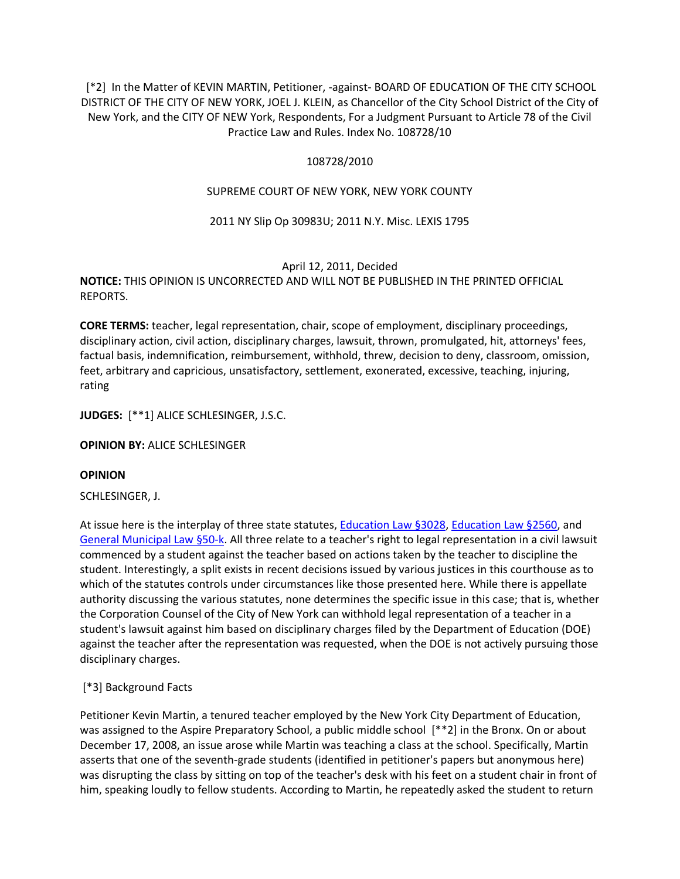[\*2] In the Matter of KEVIN MARTIN, Petitioner, -against- BOARD OF EDUCATION OF THE CITY SCHOOL DISTRICT OF THE CITY OF NEW YORK, JOEL J. KLEIN, as Chancellor of the City School District of the City of New York, and the CITY OF NEW York, Respondents, For a Judgment Pursuant to Article 78 of the Civil Practice Law and Rules. Index No. 108728/10

## 108728/2010

## SUPREME COURT OF NEW YORK, NEW YORK COUNTY

## 2011 NY Slip Op 30983U; 2011 N.Y. Misc. LEXIS 1795

### April 12, 2011, Decided

# **NOTICE:** THIS OPINION IS UNCORRECTED AND WILL NOT BE PUBLISHED IN THE PRINTED OFFICIAL REPORTS.

**CORE TERMS:** teacher, legal representation, chair, scope of employment, disciplinary proceedings, disciplinary action, civil action, disciplinary charges, lawsuit, thrown, promulgated, hit, attorneys' fees, factual basis, indemnification, reimbursement, withhold, threw, decision to deny, classroom, omission, feet, arbitrary and capricious, unsatisfactory, settlement, exonerated, excessive, teaching, injuring, rating

**JUDGES:** [\*\*1] ALICE SCHLESINGER, J.S.C.

### **OPINION BY:** ALICE SCHLESINGER

### **OPINION**

SCHLESINGER, J.

At issue here is the interplay of three state statutes, [Education Law §3028,](http://www.lexisnexis.com.ezproxy.strose.edu/lnacui2api/mungo/lexseestat.do?bct=A&risb=21_T12065449606&homeCsi=9095&A=0.10225154853678309&urlEnc=ISO-8859-1&&citeString=N.Y.%20EDUC.%20LAW%203028&countryCode=USA) [Education Law §2560,](http://www.lexisnexis.com.ezproxy.strose.edu/lnacui2api/mungo/lexseestat.do?bct=A&risb=21_T12065449606&homeCsi=9095&A=0.10225154853678309&urlEnc=ISO-8859-1&&citeString=N.Y.%20EDUC.%20LAW%202560&countryCode=USA) and [General Municipal Law §50-k.](http://www.lexisnexis.com.ezproxy.strose.edu/lnacui2api/mungo/lexseestat.do?bct=A&risb=21_T12065449606&homeCsi=9095&A=0.10225154853678309&urlEnc=ISO-8859-1&&citeString=N.Y.%20GEN.%20MUN.%20LAW%2050-K&countryCode=USA) All three relate to a teacher's right to legal representation in a civil lawsuit commenced by a student against the teacher based on actions taken by the teacher to discipline the student. Interestingly, a split exists in recent decisions issued by various justices in this courthouse as to which of the statutes controls under circumstances like those presented here. While there is appellate authority discussing the various statutes, none determines the specific issue in this case; that is, whether the Corporation Counsel of the City of New York can withhold legal representation of a teacher in a student's lawsuit against him based on disciplinary charges filed by the Department of Education (DOE) against the teacher after the representation was requested, when the DOE is not actively pursuing those disciplinary charges.

# [\*3] Background Facts

Petitioner Kevin Martin, a tenured teacher employed by the New York City Department of Education, was assigned to the Aspire Preparatory School, a public middle school [\*\*2] in the Bronx. On or about December 17, 2008, an issue arose while Martin was teaching a class at the school. Specifically, Martin asserts that one of the seventh-grade students (identified in petitioner's papers but anonymous here) was disrupting the class by sitting on top of the teacher's desk with his feet on a student chair in front of him, speaking loudly to fellow students. According to Martin, he repeatedly asked the student to return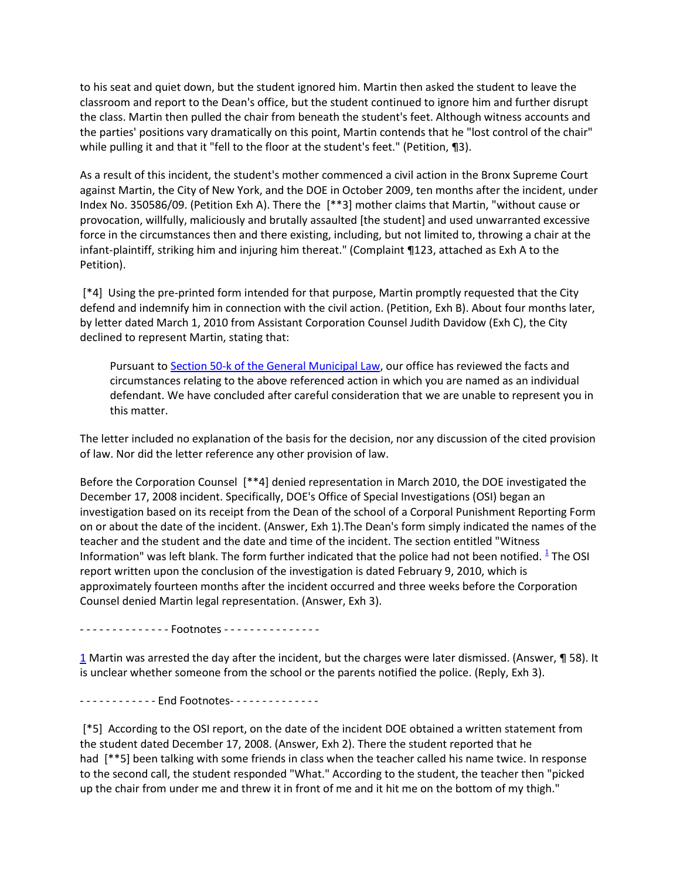to his seat and quiet down, but the student ignored him. Martin then asked the student to leave the classroom and report to the Dean's office, but the student continued to ignore him and further disrupt the class. Martin then pulled the chair from beneath the student's feet. Although witness accounts and the parties' positions vary dramatically on this point, Martin contends that he "lost control of the chair" while pulling it and that it "fell to the floor at the student's feet." (Petition, 13).

As a result of this incident, the student's mother commenced a civil action in the Bronx Supreme Court against Martin, the City of New York, and the DOE in October 2009, ten months after the incident, under Index No. 350586/09. (Petition Exh A). There the [\*\*3] mother claims that Martin, "without cause or provocation, willfully, maliciously and brutally assaulted [the student] and used unwarranted excessive force in the circumstances then and there existing, including, but not limited to, throwing a chair at the infant-plaintiff, striking him and injuring him thereat." (Complaint ¶123, attached as Exh A to the Petition).

[\*4] Using the pre-printed form intended for that purpose, Martin promptly requested that the City defend and indemnify him in connection with the civil action. (Petition, Exh B). About four months later, by letter dated March 1, 2010 from Assistant Corporation Counsel Judith Davidow (Exh C), the City declined to represent Martin, stating that:

Pursuant t[o Section 50-k of the General Municipal Law,](http://www.lexisnexis.com.ezproxy.strose.edu/lnacui2api/mungo/lexseestat.do?bct=A&risb=21_T12065449606&homeCsi=9095&A=0.10225154853678309&urlEnc=ISO-8859-1&&citeString=N.Y.%20GEN.%20MUN.%20LAW%2050-K&countryCode=USA) our office has reviewed the facts and circumstances relating to the above referenced action in which you are named as an individual defendant. We have concluded after careful consideration that we are unable to represent you in this matter.

The letter included no explanation of the basis for the decision, nor any discussion of the cited provision of law. Nor did the letter reference any other provision of law.

Before the Corporation Counsel [\*\*4] denied representation in March 2010, the DOE investigated the December 17, 2008 incident. Specifically, DOE's Office of Special Investigations (OSI) began an investigation based on its receipt from the Dean of the school of a Corporal Punishment Reporting Form on or about the date of the incident. (Answer, Exh 1).The Dean's form simply indicated the names of the teacher and the student and the date and time of the incident. The section entitled "Witness Information" was left blank[.](http://www.lexisnexis.com.ezproxy.strose.edu/lnacui2api/frame.do?reloadEntirePage=true&rand=1306781776460&returnToKey=20_T12065581921&parent=docview&target=results_DocumentContent&tokenKey=rsh-20.923980.7832930703#fnote1) The form further indicated that the police had not been notified.  $^{\underline{1}}$  The OSI report written upon the conclusion of the investigation is dated February 9, 2010, which is approximately fourteen months after the incident occurred and three weeks before the Corporation Counsel denied Martin legal representation. (Answer, Exh 3).

- - - - - - - - - - - - - - Footnotes - - - - - - - - - - - - - - -

[1](http://www.lexisnexis.com.ezproxy.strose.edu/lnacui2api/frame.do?reloadEntirePage=true&rand=1306781776460&returnToKey=20_T12065581921&parent=docview&target=results_DocumentContent&tokenKey=rsh-20.923980.7832930703#ref1) Martin was arrested the day after the incident, but the charges were later dismissed. (Answer, ¶ 58). It is unclear whether someone from the school or the parents notified the police. (Reply, Exh 3).

- - - - - - - - - - - - - End Footnotes - - - - - - - - - - - - - -

[\*5] According to the OSI report, on the date of the incident DOE obtained a written statement from the student dated December 17, 2008. (Answer, Exh 2). There the student reported that he had [\*\*5] been talking with some friends in class when the teacher called his name twice. In response to the second call, the student responded "What." According to the student, the teacher then "picked up the chair from under me and threw it in front of me and it hit me on the bottom of my thigh."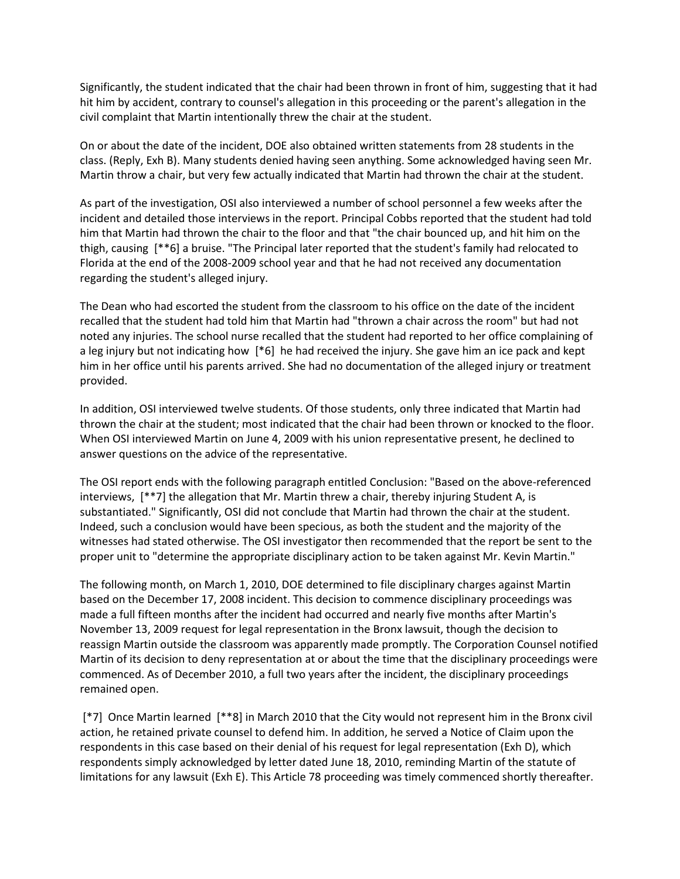Significantly, the student indicated that the chair had been thrown in front of him, suggesting that it had hit him by accident, contrary to counsel's allegation in this proceeding or the parent's allegation in the civil complaint that Martin intentionally threw the chair at the student.

On or about the date of the incident, DOE also obtained written statements from 28 students in the class. (Reply, Exh B). Many students denied having seen anything. Some acknowledged having seen Mr. Martin throw a chair, but very few actually indicated that Martin had thrown the chair at the student.

As part of the investigation, OSI also interviewed a number of school personnel a few weeks after the incident and detailed those interviews in the report. Principal Cobbs reported that the student had told him that Martin had thrown the chair to the floor and that "the chair bounced up, and hit him on the thigh, causing [\*\*6] a bruise. "The Principal later reported that the student's family had relocated to Florida at the end of the 2008-2009 school year and that he had not received any documentation regarding the student's alleged injury.

The Dean who had escorted the student from the classroom to his office on the date of the incident recalled that the student had told him that Martin had "thrown a chair across the room" but had not noted any injuries. The school nurse recalled that the student had reported to her office complaining of a leg injury but not indicating how [\*6] he had received the injury. She gave him an ice pack and kept him in her office until his parents arrived. She had no documentation of the alleged injury or treatment provided.

In addition, OSI interviewed twelve students. Of those students, only three indicated that Martin had thrown the chair at the student; most indicated that the chair had been thrown or knocked to the floor. When OSI interviewed Martin on June 4, 2009 with his union representative present, he declined to answer questions on the advice of the representative.

The OSI report ends with the following paragraph entitled Conclusion: "Based on the above-referenced interviews, [\*\*7] the allegation that Mr. Martin threw a chair, thereby injuring Student A, is substantiated." Significantly, OSI did not conclude that Martin had thrown the chair at the student. Indeed, such a conclusion would have been specious, as both the student and the majority of the witnesses had stated otherwise. The OSI investigator then recommended that the report be sent to the proper unit to "determine the appropriate disciplinary action to be taken against Mr. Kevin Martin."

The following month, on March 1, 2010, DOE determined to file disciplinary charges against Martin based on the December 17, 2008 incident. This decision to commence disciplinary proceedings was made a full fifteen months after the incident had occurred and nearly five months after Martin's November 13, 2009 request for legal representation in the Bronx lawsuit, though the decision to reassign Martin outside the classroom was apparently made promptly. The Corporation Counsel notified Martin of its decision to deny representation at or about the time that the disciplinary proceedings were commenced. As of December 2010, a full two years after the incident, the disciplinary proceedings remained open.

[\*7] Once Martin learned [\*\*8] in March 2010 that the City would not represent him in the Bronx civil action, he retained private counsel to defend him. In addition, he served a Notice of Claim upon the respondents in this case based on their denial of his request for legal representation (Exh D), which respondents simply acknowledged by letter dated June 18, 2010, reminding Martin of the statute of limitations for any lawsuit (Exh E). This Article 78 proceeding was timely commenced shortly thereafter.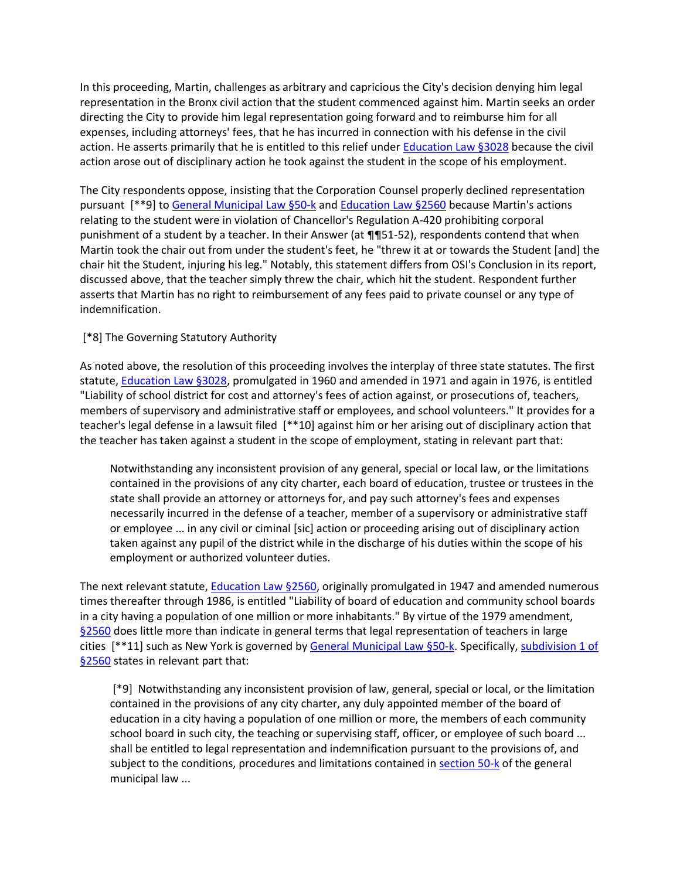In this proceeding, Martin, challenges as arbitrary and capricious the City's decision denying him legal representation in the Bronx civil action that the student commenced against him. Martin seeks an order directing the City to provide him legal representation going forward and to reimburse him for all expenses, including attorneys' fees, that he has incurred in connection with his defense in the civil action. He asserts primarily that he is entitled to this relief under [Education Law §3028](http://www.lexisnexis.com.ezproxy.strose.edu/lnacui2api/mungo/lexseestat.do?bct=A&risb=21_T12065449606&homeCsi=9095&A=0.10225154853678309&urlEnc=ISO-8859-1&&citeString=N.Y.%20EDUC.%20LAW%203028&countryCode=USA) because the civil action arose out of disciplinary action he took against the student in the scope of his employment.

The City respondents oppose, insisting that the Corporation Counsel properly declined representation pursuant [\*\*9] to [General Municipal Law §50-k](http://www.lexisnexis.com.ezproxy.strose.edu/lnacui2api/mungo/lexseestat.do?bct=A&risb=21_T12065449606&homeCsi=9095&A=0.10225154853678309&urlEnc=ISO-8859-1&&citeString=N.Y.%20GEN.%20MUN.%20LAW%2050-K&countryCode=USA) an[d Education Law §2560](http://www.lexisnexis.com.ezproxy.strose.edu/lnacui2api/mungo/lexseestat.do?bct=A&risb=21_T12065449606&homeCsi=9095&A=0.10225154853678309&urlEnc=ISO-8859-1&&citeString=N.Y.%20EDUC.%20LAW%202560&countryCode=USA) because Martin's actions relating to the student were in violation of Chancellor's Regulation A-420 prohibiting corporal punishment of a student by a teacher. In their Answer (at ¶¶51-52), respondents contend that when Martin took the chair out from under the student's feet, he "threw it at or towards the Student [and] the chair hit the Student, injuring his leg." Notably, this statement differs from OSI's Conclusion in its report, discussed above, that the teacher simply threw the chair, which hit the student. Respondent further asserts that Martin has no right to reimbursement of any fees paid to private counsel or any type of indemnification.

# [\*8] The Governing Statutory Authority

As noted above, the resolution of this proceeding involves the interplay of three state statutes. The first statute, [Education Law §3028,](http://www.lexisnexis.com.ezproxy.strose.edu/lnacui2api/mungo/lexseestat.do?bct=A&risb=21_T12065449606&homeCsi=9095&A=0.10225154853678309&urlEnc=ISO-8859-1&&citeString=N.Y.%20EDUC.%20LAW%203028&countryCode=USA) promulgated in 1960 and amended in 1971 and again in 1976, is entitled "Liability of school district for cost and attorney's fees of action against, or prosecutions of, teachers, members of supervisory and administrative staff or employees, and school volunteers." It provides for a teacher's legal defense in a lawsuit filed [\*\*10] against him or her arising out of disciplinary action that the teacher has taken against a student in the scope of employment, stating in relevant part that:

Notwithstanding any inconsistent provision of any general, special or local law, or the limitations contained in the provisions of any city charter, each board of education, trustee or trustees in the state shall provide an attorney or attorneys for, and pay such attorney's fees and expenses necessarily incurred in the defense of a teacher, member of a supervisory or administrative staff or employee ... in any civil or ciminal [sic] action or proceeding arising out of disciplinary action taken against any pupil of the district while in the discharge of his duties within the scope of his employment or authorized volunteer duties.

The next relevant statute, [Education Law §2560,](http://www.lexisnexis.com.ezproxy.strose.edu/lnacui2api/mungo/lexseestat.do?bct=A&risb=21_T12065449606&homeCsi=9095&A=0.10225154853678309&urlEnc=ISO-8859-1&&citeString=N.Y.%20EDUC.%20LAW%202560&countryCode=USA) originally promulgated in 1947 and amended numerous times thereafter through 1986, is entitled "Liability of board of education and community school boards in a city having a population of one million or more inhabitants." By virtue of the 1979 amendment, [§2560](http://www.lexisnexis.com.ezproxy.strose.edu/lnacui2api/mungo/lexseestat.do?bct=A&risb=21_T12065449606&homeCsi=9095&A=0.10225154853678309&urlEnc=ISO-8859-1&&citeString=N.Y.%20EDUC.%20LAW%202560&countryCode=USA) does little more than indicate in general terms that legal representation of teachers in large cities [\*\*11] such as New York is governed by [General Municipal Law §50-k.](http://www.lexisnexis.com.ezproxy.strose.edu/lnacui2api/mungo/lexseestat.do?bct=A&risb=21_T12065449606&homeCsi=9095&A=0.10225154853678309&urlEnc=ISO-8859-1&&citeString=N.Y.%20GEN.%20MUN.%20LAW%2050-K&countryCode=USA) Specifically, subdivision 1 of [§2560](http://www.lexisnexis.com.ezproxy.strose.edu/lnacui2api/mungo/lexseestat.do?bct=A&risb=21_T12065449606&homeCsi=9095&A=0.10225154853678309&urlEnc=ISO-8859-1&&citeString=N.Y.%20EDUC.%20LAW%202560&countryCode=USA) states in relevant part that:

[\*9] Notwithstanding any inconsistent provision of law, general, special or local, or the limitation contained in the provisions of any city charter, any duly appointed member of the board of education in a city having a population of one million or more, the members of each community school board in such city, the teaching or supervising staff, officer, or employee of such board ... shall be entitled to legal representation and indemnification pursuant to the provisions of, and subject to the conditions, procedures and limitations contained i[n section 50-k](http://www.lexisnexis.com.ezproxy.strose.edu/lnacui2api/mungo/lexseestat.do?bct=A&risb=21_T12065449606&homeCsi=9095&A=0.10225154853678309&urlEnc=ISO-8859-1&&citeString=N.Y.%20GEN.%20MUN.%20LAW%2050-K&countryCode=USA) of the general municipal law ...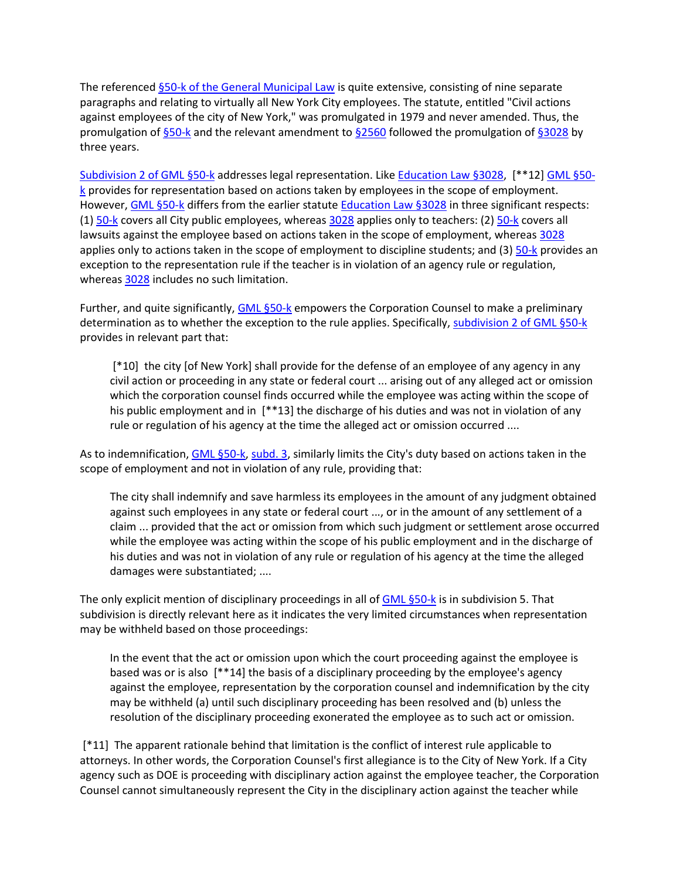The reference[d §50-k of the General Municipal Law](http://www.lexisnexis.com.ezproxy.strose.edu/lnacui2api/mungo/lexseestat.do?bct=A&risb=21_T12065449606&homeCsi=9095&A=0.10225154853678309&urlEnc=ISO-8859-1&&citeString=N.Y.%20GEN.%20MUN.%20LAW%2050-K&countryCode=USA) is quite extensive, consisting of nine separate paragraphs and relating to virtually all New York City employees. The statute, entitled "Civil actions against employees of the city of New York," was promulgated in 1979 and never amended. Thus, the promulgation of  $\S$ 50-k and the relevant amendment to  $\S$ 2560 followed the promulgation of  $\S$ 3028 by three years.

[Subdivision 2 of GML §50-k](http://www.lexisnexis.com.ezproxy.strose.edu/lnacui2api/mungo/lexseestat.do?bct=A&risb=21_T12065449606&homeCsi=9095&A=0.10225154853678309&urlEnc=ISO-8859-1&&citeString=N.Y.%20GEN.%20MUN.%20LAW%2050-K&countryCode=USA) addresses legal representation. Like [Education Law §3028,](http://www.lexisnexis.com.ezproxy.strose.edu/lnacui2api/mungo/lexseestat.do?bct=A&risb=21_T12065449606&homeCsi=9095&A=0.10225154853678309&urlEnc=ISO-8859-1&&citeString=N.Y.%20EDUC.%20LAW%203028&countryCode=USA) [\*\*12] [GML §50](http://www.lexisnexis.com.ezproxy.strose.edu/lnacui2api/mungo/lexseestat.do?bct=A&risb=21_T12065449606&homeCsi=9095&A=0.10225154853678309&urlEnc=ISO-8859-1&&citeString=N.Y.%20GEN.%20MUN.%20LAW%2050-K&countryCode=USA) [k](http://www.lexisnexis.com.ezproxy.strose.edu/lnacui2api/mungo/lexseestat.do?bct=A&risb=21_T12065449606&homeCsi=9095&A=0.10225154853678309&urlEnc=ISO-8859-1&&citeString=N.Y.%20GEN.%20MUN.%20LAW%2050-K&countryCode=USA) provides for representation based on actions taken by employees in the scope of employment. However[, GML §50-k](http://www.lexisnexis.com.ezproxy.strose.edu/lnacui2api/mungo/lexseestat.do?bct=A&risb=21_T12065449606&homeCsi=9095&A=0.10225154853678309&urlEnc=ISO-8859-1&&citeString=N.Y.%20GEN.%20MUN.%20LAW%2050-K&countryCode=USA) differs from the earlier statute [Education Law §3028](http://www.lexisnexis.com.ezproxy.strose.edu/lnacui2api/mungo/lexseestat.do?bct=A&risb=21_T12065449606&homeCsi=9095&A=0.10225154853678309&urlEnc=ISO-8859-1&&citeString=N.Y.%20EDUC.%20LAW%203028&countryCode=USA) in three significant respects: (1[\) 50-k](http://www.lexisnexis.com.ezproxy.strose.edu/lnacui2api/mungo/lexseestat.do?bct=A&risb=21_T12065449606&homeCsi=9095&A=0.10225154853678309&urlEnc=ISO-8859-1&&citeString=N.Y.%20GEN.%20MUN.%20LAW%2050-K&countryCode=USA) covers all City public employees, wherea[s 3028](http://www.lexisnexis.com.ezproxy.strose.edu/lnacui2api/mungo/lexseestat.do?bct=A&risb=21_T12065449606&homeCsi=9095&A=0.10225154853678309&urlEnc=ISO-8859-1&&citeString=N.Y.%20EDUC.%20LAW%203028&countryCode=USA) applies only to teachers: (2[\) 50-k](http://www.lexisnexis.com.ezproxy.strose.edu/lnacui2api/mungo/lexseestat.do?bct=A&risb=21_T12065449606&homeCsi=9095&A=0.10225154853678309&urlEnc=ISO-8859-1&&citeString=N.Y.%20GEN.%20MUN.%20LAW%2050-K&countryCode=USA) covers all lawsuits against the employee based on actions taken in the scope of employment, whereas [3028](http://www.lexisnexis.com.ezproxy.strose.edu/lnacui2api/mungo/lexseestat.do?bct=A&risb=21_T12065449606&homeCsi=9095&A=0.10225154853678309&urlEnc=ISO-8859-1&&citeString=N.Y.%20EDUC.%20LAW%203028&countryCode=USA) applies only to actions taken in the scope of employment to discipline students; and (3) [50-k](http://www.lexisnexis.com.ezproxy.strose.edu/lnacui2api/mungo/lexseestat.do?bct=A&risb=21_T12065449606&homeCsi=9095&A=0.10225154853678309&urlEnc=ISO-8859-1&&citeString=N.Y.%20GEN.%20MUN.%20LAW%2050-K&countryCode=USA) provides an exception to the representation rule if the teacher is in violation of an agency rule or regulation, whereas  $3028$  includes no such limitation.

Further, and quite significantly, **GML §50-k** empowers the Corporation Counsel to make a preliminary determination as to whether the exception to the rule applies. Specifically, [subdivision 2 of GML §50-k](http://www.lexisnexis.com.ezproxy.strose.edu/lnacui2api/mungo/lexseestat.do?bct=A&risb=21_T12065449606&homeCsi=9095&A=0.10225154853678309&urlEnc=ISO-8859-1&&citeString=N.Y.%20GEN.%20MUN.%20LAW%2050-K&countryCode=USA) provides in relevant part that:

[\*10] the city [of New York] shall provide for the defense of an employee of any agency in any civil action or proceeding in any state or federal court ... arising out of any alleged act or omission which the corporation counsel finds occurred while the employee was acting within the scope of his public employment and in [\*\*13] the discharge of his duties and was not in violation of any rule or regulation of his agency at the time the alleged act or omission occurred ....

As to indemnification[, GML §50-k, subd. 3,](http://www.lexisnexis.com.ezproxy.strose.edu/lnacui2api/mungo/lexseestat.do?bct=A&risb=21_T12065449606&homeCsi=9095&A=0.10225154853678309&urlEnc=ISO-8859-1&&citeString=N.Y.%20GEN.%20MUN.%20LAW%2050-K&countryCode=USA) similarly limits the City's duty based on actions taken in the scope of employment and not in violation of any rule, providing that:

The city shall indemnify and save harmless its employees in the amount of any judgment obtained against such employees in any state or federal court ..., or in the amount of any settlement of a claim ... provided that the act or omission from which such judgment or settlement arose occurred while the employee was acting within the scope of his public employment and in the discharge of his duties and was not in violation of any rule or regulation of his agency at the time the alleged damages were substantiated; ....

The only explicit mention of disciplinary proceedings in all of [GML §50-k](http://www.lexisnexis.com.ezproxy.strose.edu/lnacui2api/mungo/lexseestat.do?bct=A&risb=21_T12065449606&homeCsi=9095&A=0.10225154853678309&urlEnc=ISO-8859-1&&citeString=N.Y.%20GEN.%20MUN.%20LAW%2050-K&countryCode=USA) is in subdivision 5. That subdivision is directly relevant here as it indicates the very limited circumstances when representation may be withheld based on those proceedings:

In the event that the act or omission upon which the court proceeding against the employee is based was or is also [\*\*14] the basis of a disciplinary proceeding by the employee's agency against the employee, representation by the corporation counsel and indemnification by the city may be withheld (a) until such disciplinary proceeding has been resolved and (b) unless the resolution of the disciplinary proceeding exonerated the employee as to such act or omission.

[\*11] The apparent rationale behind that limitation is the conflict of interest rule applicable to attorneys. In other words, the Corporation Counsel's first allegiance is to the City of New York. If a City agency such as DOE is proceeding with disciplinary action against the employee teacher, the Corporation Counsel cannot simultaneously represent the City in the disciplinary action against the teacher while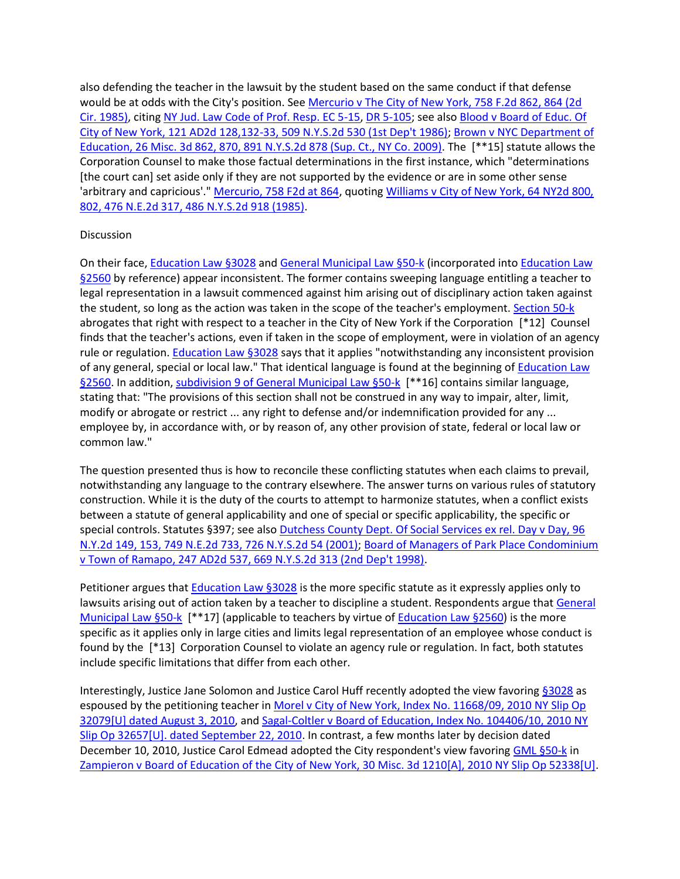also defending the teacher in the lawsuit by the student based on the same conduct if that defense would be at odds with the City's position. Se[e Mercurio v The City of New York, 758 F.2d 862, 864 \(2d](http://www.lexisnexis.com.ezproxy.strose.edu/lnacui2api/mungo/lexseestat.do?bct=A&risb=21_T12065449606&homeCsi=9095&A=0.10225154853678309&urlEnc=ISO-8859-1&&citeString=758%20F.2d%20862,%20864&countryCode=USA)  [Cir. 1985\),](http://www.lexisnexis.com.ezproxy.strose.edu/lnacui2api/mungo/lexseestat.do?bct=A&risb=21_T12065449606&homeCsi=9095&A=0.10225154853678309&urlEnc=ISO-8859-1&&citeString=758%20F.2d%20862,%20864&countryCode=USA) citing [NY Jud. Law Code of Prof. Resp. EC 5-15, DR 5-105;](http://www.lexisnexis.com.ezproxy.strose.edu/lnacui2api/mungo/lexseestat.do?bct=A&risb=21_T12065449606&homeCsi=9095&A=0.10225154853678309&urlEnc=ISO-8859-1&&citeString=N.Y.%20CODE%20OF%20PROFL%20RESPONSIBILITY%205&countryCode=USA) see also [Blood v Board of Educ. Of](http://www.lexisnexis.com.ezproxy.strose.edu/lnacui2api/mungo/lexseestat.do?bct=A&risb=21_T12065449606&homeCsi=9095&A=0.10225154853678309&urlEnc=ISO-8859-1&&citeString=121%20A.D.2d%20128,%20132&countryCode=USA)  [City of New York, 121 AD2d 128,132-33, 509 N.Y.S.2d 530 \(1st Dep't 1986\);](http://www.lexisnexis.com.ezproxy.strose.edu/lnacui2api/mungo/lexseestat.do?bct=A&risb=21_T12065449606&homeCsi=9095&A=0.10225154853678309&urlEnc=ISO-8859-1&&citeString=121%20A.D.2d%20128,%20132&countryCode=USA) [Brown v NYC Department of](http://www.lexisnexis.com.ezproxy.strose.edu/lnacui2api/mungo/lexseestat.do?bct=A&risb=21_T12065449606&homeCsi=9095&A=0.10225154853678309&urlEnc=ISO-8859-1&&citeString=26%20Misc.%203d%20862,%20870&countryCode=USA)  [Education, 26 Misc. 3d 862, 870, 891 N.Y.S.2d 878 \(Sup. Ct., NY Co. 2009\).](http://www.lexisnexis.com.ezproxy.strose.edu/lnacui2api/mungo/lexseestat.do?bct=A&risb=21_T12065449606&homeCsi=9095&A=0.10225154853678309&urlEnc=ISO-8859-1&&citeString=26%20Misc.%203d%20862,%20870&countryCode=USA) The [\*\*15] statute allows the Corporation Counsel to make those factual determinations in the first instance, which "determinations [the court can] set aside only if they are not supported by the evidence or are in some other sense 'arbitrary and capricious'.[" Mercurio, 758 F2d at 864,](http://www.lexisnexis.com.ezproxy.strose.edu/lnacui2api/mungo/lexseestat.do?bct=A&risb=21_T12065449606&homeCsi=9095&A=0.10225154853678309&urlEnc=ISO-8859-1&&citeString=758%20F.2d%20862,%20864&countryCode=USA) quotin[g Williams v City of New York, 64 NY2d 800,](http://www.lexisnexis.com.ezproxy.strose.edu/lnacui2api/mungo/lexseestat.do?bct=A&risb=21_T12065449606&homeCsi=9095&A=0.10225154853678309&urlEnc=ISO-8859-1&&citeString=64%20N.Y.2d%20800,%20802&countryCode=USA)  [802, 476 N.E.2d 317, 486 N.Y.S.2d 918 \(1985\).](http://www.lexisnexis.com.ezproxy.strose.edu/lnacui2api/mungo/lexseestat.do?bct=A&risb=21_T12065449606&homeCsi=9095&A=0.10225154853678309&urlEnc=ISO-8859-1&&citeString=64%20N.Y.2d%20800,%20802&countryCode=USA)

### **Discussion**

On their face, [Education Law §3028](http://www.lexisnexis.com.ezproxy.strose.edu/lnacui2api/mungo/lexseestat.do?bct=A&risb=21_T12065449606&homeCsi=9095&A=0.10225154853678309&urlEnc=ISO-8859-1&&citeString=N.Y.%20EDUC.%20LAW%203028&countryCode=USA) and [General Municipal Law §50-k](http://www.lexisnexis.com.ezproxy.strose.edu/lnacui2api/mungo/lexseestat.do?bct=A&risb=21_T12065449606&homeCsi=9095&A=0.10225154853678309&urlEnc=ISO-8859-1&&citeString=N.Y.%20GEN.%20MUN.%20LAW%2050-K&countryCode=USA) (incorporated into [Education Law](http://www.lexisnexis.com.ezproxy.strose.edu/lnacui2api/mungo/lexseestat.do?bct=A&risb=21_T12065449606&homeCsi=9095&A=0.10225154853678309&urlEnc=ISO-8859-1&&citeString=N.Y.%20EDUC.%20LAW%202560&countryCode=USA)  [§2560](http://www.lexisnexis.com.ezproxy.strose.edu/lnacui2api/mungo/lexseestat.do?bct=A&risb=21_T12065449606&homeCsi=9095&A=0.10225154853678309&urlEnc=ISO-8859-1&&citeString=N.Y.%20EDUC.%20LAW%202560&countryCode=USA) by reference) appear inconsistent. The former contains sweeping language entitling a teacher to legal representation in a lawsuit commenced against him arising out of disciplinary action taken against the student, so long as the action was taken in the scope of the teacher's employment[. Section 50-k](http://www.lexisnexis.com.ezproxy.strose.edu/lnacui2api/mungo/lexseestat.do?bct=A&risb=21_T12065449606&homeCsi=9095&A=0.10225154853678309&urlEnc=ISO-8859-1&&citeString=N.Y.%20GEN.%20MUN.%20LAW%2050-K&countryCode=USA) abrogates that right with respect to a teacher in the City of New York if the Corporation [\*12] Counsel finds that the teacher's actions, even if taken in the scope of employment, were in violation of an agency rule or regulation. [Education Law §3028](http://www.lexisnexis.com.ezproxy.strose.edu/lnacui2api/mungo/lexseestat.do?bct=A&risb=21_T12065449606&homeCsi=9095&A=0.10225154853678309&urlEnc=ISO-8859-1&&citeString=N.Y.%20EDUC.%20LAW%203028&countryCode=USA) says that it applies "notwithstanding any inconsistent provision of any general, special or local law." That identical language is found at the beginning of Education Law [§2560.](http://www.lexisnexis.com.ezproxy.strose.edu/lnacui2api/mungo/lexseestat.do?bct=A&risb=21_T12065449606&homeCsi=9095&A=0.10225154853678309&urlEnc=ISO-8859-1&&citeString=N.Y.%20EDUC.%20LAW%202560&countryCode=USA) In addition[, subdivision 9 of General Municipal Law §50-k](http://www.lexisnexis.com.ezproxy.strose.edu/lnacui2api/mungo/lexseestat.do?bct=A&risb=21_T12065449606&homeCsi=9095&A=0.10225154853678309&urlEnc=ISO-8859-1&&citeString=N.Y.%20GEN.%20MUN.%20LAW%2050-K&countryCode=USA) [\*\*16] contains similar language, stating that: "The provisions of this section shall not be construed in any way to impair, alter, limit, modify or abrogate or restrict ... any right to defense and/or indemnification provided for any ... employee by, in accordance with, or by reason of, any other provision of state, federal or local law or common law."

The question presented thus is how to reconcile these conflicting statutes when each claims to prevail, notwithstanding any language to the contrary elsewhere. The answer turns on various rules of statutory construction. While it is the duty of the courts to attempt to harmonize statutes, when a conflict exists between a statute of general applicability and one of special or specific applicability, the specific or special controls. Statutes §397; see also [Dutchess County Dept. Of Social Services ex rel. Day v Day, 96](http://www.lexisnexis.com.ezproxy.strose.edu/lnacui2api/mungo/lexseestat.do?bct=A&risb=21_T12065449606&homeCsi=9095&A=0.10225154853678309&urlEnc=ISO-8859-1&&citeString=96%20N.Y.2d%20149,%20153&countryCode=USA)  [N.Y.2d 149, 153, 749 N.E.2d 733, 726 N.Y.S.2d 54 \(2001\);](http://www.lexisnexis.com.ezproxy.strose.edu/lnacui2api/mungo/lexseestat.do?bct=A&risb=21_T12065449606&homeCsi=9095&A=0.10225154853678309&urlEnc=ISO-8859-1&&citeString=96%20N.Y.2d%20149,%20153&countryCode=USA) Board of [Managers of Park Place Condominium](http://www.lexisnexis.com.ezproxy.strose.edu/lnacui2api/mungo/lexseestat.do?bct=A&risb=21_T12065449606&homeCsi=9095&A=0.10225154853678309&urlEnc=ISO-8859-1&&citeString=247%20A.D.2d%20537&countryCode=USA)  [v Town of Ramapo, 247 AD2d 537, 669 N.Y.S.2d 313 \(2nd Dep't 1998\).](http://www.lexisnexis.com.ezproxy.strose.edu/lnacui2api/mungo/lexseestat.do?bct=A&risb=21_T12065449606&homeCsi=9095&A=0.10225154853678309&urlEnc=ISO-8859-1&&citeString=247%20A.D.2d%20537&countryCode=USA)

Petitioner argues that [Education Law §3028](http://www.lexisnexis.com.ezproxy.strose.edu/lnacui2api/mungo/lexseestat.do?bct=A&risb=21_T12065449606&homeCsi=9095&A=0.10225154853678309&urlEnc=ISO-8859-1&&citeString=N.Y.%20EDUC.%20LAW%203028&countryCode=USA) is the more specific statute as it expressly applies only to lawsuits arising out of action taken by a teacher to discipline a student. Respondents argue that General [Municipal Law §50-k](http://www.lexisnexis.com.ezproxy.strose.edu/lnacui2api/mungo/lexseestat.do?bct=A&risb=21_T12065449606&homeCsi=9095&A=0.10225154853678309&urlEnc=ISO-8859-1&&citeString=N.Y.%20GEN.%20MUN.%20LAW%2050-K&countryCode=USA) [\*\*17] (applicable to teachers by virtue of [Education Law §2560\)](http://www.lexisnexis.com.ezproxy.strose.edu/lnacui2api/mungo/lexseestat.do?bct=A&risb=21_T12065449606&homeCsi=9095&A=0.10225154853678309&urlEnc=ISO-8859-1&&citeString=N.Y.%20EDUC.%20LAW%202560&countryCode=USA) is the more specific as it applies only in large cities and limits legal representation of an employee whose conduct is found by the [\*13] Corporation Counsel to violate an agency rule or regulation. In fact, both statutes include specific limitations that differ from each other.

Interestingly, Justice Jane Solomon and Justice Carol Huff recently adopted the view favoring [§3028](http://www.lexisnexis.com.ezproxy.strose.edu/lnacui2api/mungo/lexseestat.do?bct=A&risb=21_T12065449606&homeCsi=9095&A=0.10225154853678309&urlEnc=ISO-8859-1&&citeString=N.Y.%20EDUC.%20LAW%203028&countryCode=USA) as espoused by the petitioning teacher i[n Morel v City of New York, Index No. 11668/09, 2010 NY Slip Op](http://www.lexisnexis.com.ezproxy.strose.edu/lnacui2api/mungo/lexseestat.do?bct=A&risb=21_T12065449606&homeCsi=9095&A=0.10225154853678309&urlEnc=ISO-8859-1&&citeString=2010%20N.Y.%20Misc.%20LEXIS%203675&countryCode=USA)  [32079\[U\] dated August 3, 2010,](http://www.lexisnexis.com.ezproxy.strose.edu/lnacui2api/mungo/lexseestat.do?bct=A&risb=21_T12065449606&homeCsi=9095&A=0.10225154853678309&urlEnc=ISO-8859-1&&citeString=2010%20N.Y.%20Misc.%20LEXIS%203675&countryCode=USA) and [Sagal-Coltler v Board of Education, Index No. 104406/10, 2010 NY](http://www.lexisnexis.com.ezproxy.strose.edu/lnacui2api/mungo/lexseestat.do?bct=A&risb=21_T12065449606&homeCsi=9095&A=0.10225154853678309&urlEnc=ISO-8859-1&&citeString=2010%20N.Y.%20Misc.%20LEXIS%204647&countryCode=USA)  [Slip Op 32657\[U\]. dated September 22, 2010.](http://www.lexisnexis.com.ezproxy.strose.edu/lnacui2api/mungo/lexseestat.do?bct=A&risb=21_T12065449606&homeCsi=9095&A=0.10225154853678309&urlEnc=ISO-8859-1&&citeString=2010%20N.Y.%20Misc.%20LEXIS%204647&countryCode=USA) In contrast, a few months later by decision dated December 10, 2010, Justice Carol Edmead adopted the City respondent's view favoring [GML §50-k](http://www.lexisnexis.com.ezproxy.strose.edu/lnacui2api/mungo/lexseestat.do?bct=A&risb=21_T12065449606&homeCsi=9095&A=0.10225154853678309&urlEnc=ISO-8859-1&&citeString=N.Y.%20GEN.%20MUN.%20LAW%2050-K&countryCode=USA) in [Zampieron v Board of Education of the City of New York, 30 Misc. 3d 1210\[A\], 2010 NY Slip Op 52338\[U\].](http://www.lexisnexis.com.ezproxy.strose.edu/lnacui2api/mungo/lexseestat.do?bct=A&risb=21_T12065449606&homeCsi=9095&A=0.10225154853678309&urlEnc=ISO-8859-1&&citeString=30%20Misc.%203d%201210A&countryCode=USA)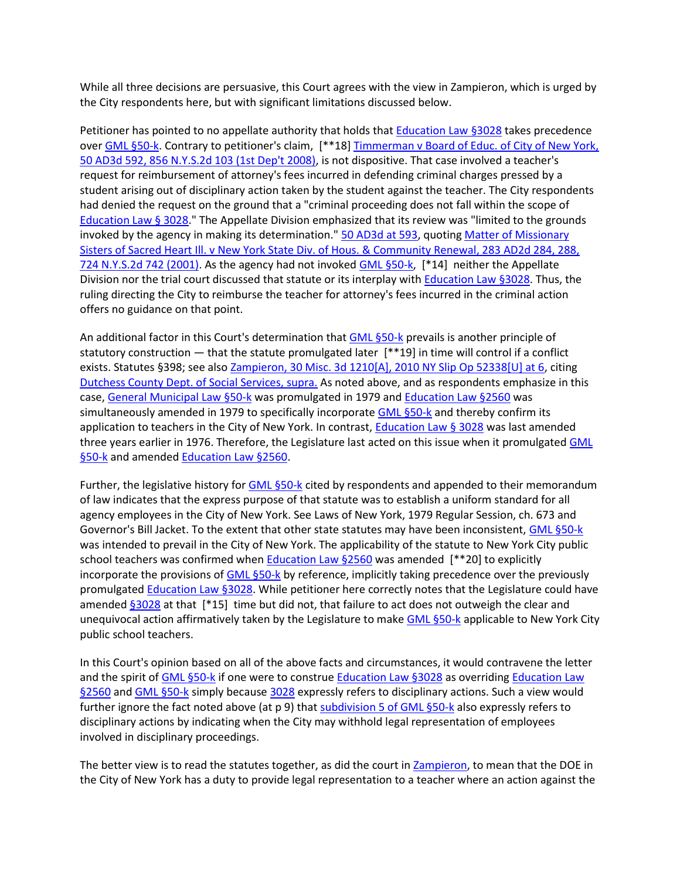While all three decisions are persuasive, this Court agrees with the view in Zampieron, which is urged by the City respondents here, but with significant limitations discussed below.

Petitioner has pointed to no appellate authority that holds tha[t Education Law §3028](http://www.lexisnexis.com.ezproxy.strose.edu/lnacui2api/mungo/lexseestat.do?bct=A&risb=21_T12065449606&homeCsi=9095&A=0.10225154853678309&urlEnc=ISO-8859-1&&citeString=N.Y.%20EDUC.%20LAW%203028&countryCode=USA) takes precedence ove[r GML §50-k.](http://www.lexisnexis.com.ezproxy.strose.edu/lnacui2api/mungo/lexseestat.do?bct=A&risb=21_T12065449606&homeCsi=9095&A=0.10225154853678309&urlEnc=ISO-8859-1&&citeString=N.Y.%20GEN.%20MUN.%20LAW%2050-K&countryCode=USA) Contrary to petitioner's claim, [\*\*18] Timmerman v Board of Educ. of City of New York, [50 AD3d 592, 856 N.Y.S.2d 103 \(1st Dep't 2008\),](http://www.lexisnexis.com.ezproxy.strose.edu/lnacui2api/mungo/lexseestat.do?bct=A&risb=21_T12065449606&homeCsi=9095&A=0.10225154853678309&urlEnc=ISO-8859-1&&citeString=50%20A.D.3d%20592&countryCode=USA) is not dispositive. That case involved a teacher's request for reimbursement of attorney's fees incurred in defending criminal charges pressed by a student arising out of disciplinary action taken by the student against the teacher. The City respondents had denied the request on the ground that a "criminal proceeding does not fall within the scope of [Education Law § 3028.](http://www.lexisnexis.com.ezproxy.strose.edu/lnacui2api/mungo/lexseestat.do?bct=A&risb=21_T12065449606&homeCsi=9095&A=0.10225154853678309&urlEnc=ISO-8859-1&&citeString=N.Y.%20EDUC.%20LAW%203028&countryCode=USA)" The Appellate Division emphasized that its review was "limited to the grounds invoked by the agency in making its determination." [50 AD3d at 593,](http://www.lexisnexis.com.ezproxy.strose.edu/lnacui2api/mungo/lexseestat.do?bct=A&risb=21_T12065449606&homeCsi=9095&A=0.10225154853678309&urlEnc=ISO-8859-1&&citeString=50%20A.D.3d%20592,%20593&countryCode=USA) quoting Matter of Missionary [Sisters of Sacred Heart Ill. v New York State Div. of Hous. & Community Renewal, 283 AD2d 284, 288,](http://www.lexisnexis.com.ezproxy.strose.edu/lnacui2api/mungo/lexseestat.do?bct=A&risb=21_T12065449606&homeCsi=9095&A=0.10225154853678309&urlEnc=ISO-8859-1&&citeString=283%20A.D.2d%20284,%20288&countryCode=USA)  [724 N.Y.S.2d 742 \(2001\).](http://www.lexisnexis.com.ezproxy.strose.edu/lnacui2api/mungo/lexseestat.do?bct=A&risb=21_T12065449606&homeCsi=9095&A=0.10225154853678309&urlEnc=ISO-8859-1&&citeString=283%20A.D.2d%20284,%20288&countryCode=USA) As the agency had not invoke[d GML §50-k,](http://www.lexisnexis.com.ezproxy.strose.edu/lnacui2api/mungo/lexseestat.do?bct=A&risb=21_T12065449606&homeCsi=9095&A=0.10225154853678309&urlEnc=ISO-8859-1&&citeString=N.Y.%20GEN.%20MUN.%20LAW%2050-K&countryCode=USA) [\*14] neither the Appellate Division nor the trial court discussed that statute or its interplay with **Education Law §3028**. Thus, the ruling directing the City to reimburse the teacher for attorney's fees incurred in the criminal action offers no guidance on that point.

An additional factor in this Court's determination tha[t GML §50-k](http://www.lexisnexis.com.ezproxy.strose.edu/lnacui2api/mungo/lexseestat.do?bct=A&risb=21_T12065449606&homeCsi=9095&A=0.10225154853678309&urlEnc=ISO-8859-1&&citeString=N.Y.%20GEN.%20MUN.%20LAW%2050-K&countryCode=USA) prevails is another principle of statutory construction — that the statute promulgated later [\*\*19] in time will control if a conflict exists. Statutes §398; see als[o Zampieron, 30 Misc. 3d 1210\[A\], 2010 NY Slip Op 52338\[U\] at 6,](http://www.lexisnexis.com.ezproxy.strose.edu/lnacui2api/mungo/lexseestat.do?bct=A&risb=21_T12065449606&homeCsi=9095&A=0.10225154853678309&urlEnc=ISO-8859-1&&citeString=30%20Misc.%203d%201210A&countryCode=USA) citing [Dutchess County Dept. of Social Services, supra.](http://www.lexisnexis.com.ezproxy.strose.edu/lnacui2api/mungo/lexseestat.do?bct=A&risb=21_T12065449606&homeCsi=9095&A=0.10225154853678309&urlEnc=ISO-8859-1&&citeString=96%20N.Y.2d%20149&countryCode=USA) As noted above, and as respondents emphasize in this case, [General Municipal Law §50-k](http://www.lexisnexis.com.ezproxy.strose.edu/lnacui2api/mungo/lexseestat.do?bct=A&risb=21_T12065449606&homeCsi=9095&A=0.10225154853678309&urlEnc=ISO-8859-1&&citeString=N.Y.%20GEN.%20MUN.%20LAW%2050-K&countryCode=USA) was promulgated in 1979 and [Education Law §2560](http://www.lexisnexis.com.ezproxy.strose.edu/lnacui2api/mungo/lexseestat.do?bct=A&risb=21_T12065449606&homeCsi=9095&A=0.10225154853678309&urlEnc=ISO-8859-1&&citeString=N.Y.%20EDUC.%20LAW%202560&countryCode=USA) was simultaneously amended in 1979 to specifically incorporate [GML §50-k](http://www.lexisnexis.com.ezproxy.strose.edu/lnacui2api/mungo/lexseestat.do?bct=A&risb=21_T12065449606&homeCsi=9095&A=0.10225154853678309&urlEnc=ISO-8859-1&&citeString=N.Y.%20GEN.%20MUN.%20LAW%2050-K&countryCode=USA) and thereby confirm its application to teachers in the City of New York. In contrast, [Education Law § 3028](http://www.lexisnexis.com.ezproxy.strose.edu/lnacui2api/mungo/lexseestat.do?bct=A&risb=21_T12065449606&homeCsi=9095&A=0.10225154853678309&urlEnc=ISO-8859-1&&citeString=N.Y.%20EDUC.%20LAW%203028&countryCode=USA) was last amended three years earlier in 1976. Therefore, the Legislature last acted on this issue when it promulgated [GML](http://www.lexisnexis.com.ezproxy.strose.edu/lnacui2api/mungo/lexseestat.do?bct=A&risb=21_T12065449606&homeCsi=9095&A=0.10225154853678309&urlEnc=ISO-8859-1&&citeString=N.Y.%20GEN.%20MUN.%20LAW%2050-K&countryCode=USA)  [§50-k](http://www.lexisnexis.com.ezproxy.strose.edu/lnacui2api/mungo/lexseestat.do?bct=A&risb=21_T12065449606&homeCsi=9095&A=0.10225154853678309&urlEnc=ISO-8859-1&&citeString=N.Y.%20GEN.%20MUN.%20LAW%2050-K&countryCode=USA) and amende[d Education Law §2560.](http://www.lexisnexis.com.ezproxy.strose.edu/lnacui2api/mungo/lexseestat.do?bct=A&risb=21_T12065449606&homeCsi=9095&A=0.10225154853678309&urlEnc=ISO-8859-1&&citeString=N.Y.%20EDUC.%20LAW%202560&countryCode=USA)

Further, the legislative history for [GML §50-k](http://www.lexisnexis.com.ezproxy.strose.edu/lnacui2api/mungo/lexseestat.do?bct=A&risb=21_T12065449606&homeCsi=9095&A=0.10225154853678309&urlEnc=ISO-8859-1&&citeString=N.Y.%20GEN.%20MUN.%20LAW%2050-K&countryCode=USA) cited by respondents and appended to their memorandum of law indicates that the express purpose of that statute was to establish a uniform standard for all agency employees in the City of New York. See Laws of New York, 1979 Regular Session, ch. 673 and Governor's Bill Jacket. To the extent that other state statutes may have been inconsistent, [GML §50-k](http://www.lexisnexis.com.ezproxy.strose.edu/lnacui2api/mungo/lexseestat.do?bct=A&risb=21_T12065449606&homeCsi=9095&A=0.10225154853678309&urlEnc=ISO-8859-1&&citeString=N.Y.%20GEN.%20MUN.%20LAW%2050-K&countryCode=USA) was intended to prevail in the City of New York. The applicability of the statute to New York City public school teachers was confirmed when **Education Law §2560** was amended  $[$ \*\*20] to explicitly incorporate the provisions of [GML §50-k](http://www.lexisnexis.com.ezproxy.strose.edu/lnacui2api/mungo/lexseestat.do?bct=A&risb=21_T12065449606&homeCsi=9095&A=0.10225154853678309&urlEnc=ISO-8859-1&&citeString=N.Y.%20GEN.%20MUN.%20LAW%2050-K&countryCode=USA) by reference, implicitly taking precedence over the previously promulgated [Education Law §3028.](http://www.lexisnexis.com.ezproxy.strose.edu/lnacui2api/mungo/lexseestat.do?bct=A&risb=21_T12065449606&homeCsi=9095&A=0.10225154853678309&urlEnc=ISO-8859-1&&citeString=N.Y.%20EDUC.%20LAW%203028&countryCode=USA) While petitioner here correctly notes that the Legislature could have amended [§3028](http://www.lexisnexis.com.ezproxy.strose.edu/lnacui2api/mungo/lexseestat.do?bct=A&risb=21_T12065449606&homeCsi=9095&A=0.10225154853678309&urlEnc=ISO-8859-1&&citeString=N.Y.%20EDUC.%20LAW%203028&countryCode=USA) at that [\*15] time but did not, that failure to act does not outweigh the clear and unequivocal action affirmatively taken by the Legislature to mak[e GML §50-k](http://www.lexisnexis.com.ezproxy.strose.edu/lnacui2api/mungo/lexseestat.do?bct=A&risb=21_T12065449606&homeCsi=9095&A=0.10225154853678309&urlEnc=ISO-8859-1&&citeString=N.Y.%20GEN.%20MUN.%20LAW%2050-K&countryCode=USA) applicable to New York City public school teachers.

In this Court's opinion based on all of the above facts and circumstances, it would contravene the letter and the spirit o[f GML §50-k](http://www.lexisnexis.com.ezproxy.strose.edu/lnacui2api/mungo/lexseestat.do?bct=A&risb=21_T12065449606&homeCsi=9095&A=0.10225154853678309&urlEnc=ISO-8859-1&&citeString=N.Y.%20GEN.%20MUN.%20LAW%2050-K&countryCode=USA) if one were to construe [Education Law §3028](http://www.lexisnexis.com.ezproxy.strose.edu/lnacui2api/mungo/lexseestat.do?bct=A&risb=21_T12065449606&homeCsi=9095&A=0.10225154853678309&urlEnc=ISO-8859-1&&citeString=N.Y.%20EDUC.%20LAW%203028&countryCode=USA) as overriding Education Law [§2560](http://www.lexisnexis.com.ezproxy.strose.edu/lnacui2api/mungo/lexseestat.do?bct=A&risb=21_T12065449606&homeCsi=9095&A=0.10225154853678309&urlEnc=ISO-8859-1&&citeString=N.Y.%20EDUC.%20LAW%202560&countryCode=USA) an[d GML §50-k](http://www.lexisnexis.com.ezproxy.strose.edu/lnacui2api/mungo/lexseestat.do?bct=A&risb=21_T12065449606&homeCsi=9095&A=0.10225154853678309&urlEnc=ISO-8859-1&&citeString=N.Y.%20GEN.%20MUN.%20LAW%2050-K&countryCode=USA) simply because [3028](http://www.lexisnexis.com.ezproxy.strose.edu/lnacui2api/mungo/lexseestat.do?bct=A&risb=21_T12065449606&homeCsi=9095&A=0.10225154853678309&urlEnc=ISO-8859-1&&citeString=N.Y.%20EDUC.%20LAW%203028&countryCode=USA) expressly refers to disciplinary actions. Such a view would further ignore the fact noted above (at p 9) that [subdivision 5 of GML §50-k](http://www.lexisnexis.com.ezproxy.strose.edu/lnacui2api/mungo/lexseestat.do?bct=A&risb=21_T12065449606&homeCsi=9095&A=0.10225154853678309&urlEnc=ISO-8859-1&&citeString=N.Y.%20GEN.%20MUN.%20LAW%2050-K&countryCode=USA) also expressly refers to disciplinary actions by indicating when the City may withhold legal representation of employees involved in disciplinary proceedings.

The better view is to read the statutes together, as did the court in [Zampieron,](http://www.lexisnexis.com.ezproxy.strose.edu/lnacui2api/mungo/lexseestat.do?bct=A&risb=21_T12065449606&homeCsi=9095&A=0.10225154853678309&urlEnc=ISO-8859-1&&citeString=30%20Misc.%203d%201210A&countryCode=USA) to mean that the DOE in the City of New York has a duty to provide legal representation to a teacher where an action against the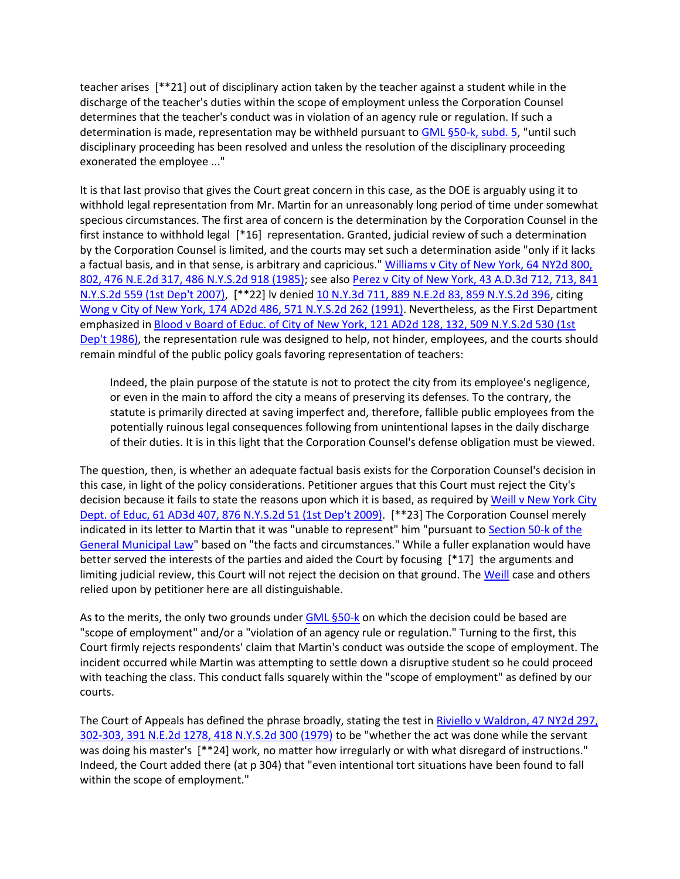teacher arises [\*\*21] out of disciplinary action taken by the teacher against a student while in the discharge of the teacher's duties within the scope of employment unless the Corporation Counsel determines that the teacher's conduct was in violation of an agency rule or regulation. If such a determination is made, representation may be withheld pursuant t[o GML §50-k, subd. 5,](http://www.lexisnexis.com.ezproxy.strose.edu/lnacui2api/mungo/lexseestat.do?bct=A&risb=21_T12065449606&homeCsi=9095&A=0.10225154853678309&urlEnc=ISO-8859-1&&citeString=N.Y.%20GEN.%20MUN.%20LAW%2050-K&countryCode=USA) "until such disciplinary proceeding has been resolved and unless the resolution of the disciplinary proceeding exonerated the employee ..."

It is that last proviso that gives the Court great concern in this case, as the DOE is arguably using it to withhold legal representation from Mr. Martin for an unreasonably long period of time under somewhat specious circumstances. The first area of concern is the determination by the Corporation Counsel in the first instance to withhold legal [\*16] representation. Granted, judicial review of such a determination by the Corporation Counsel is limited, and the courts may set such a determination aside "only if it lacks a factual basis, and in that sense, is arbitrary and capricious." Williams v City of New York, 64 NY2d 800, [802, 476 N.E.2d 317, 486 N.Y.S.2d 918 \(1985\);](http://www.lexisnexis.com.ezproxy.strose.edu/lnacui2api/mungo/lexseestat.do?bct=A&risb=21_T12065449606&homeCsi=9095&A=0.10225154853678309&urlEnc=ISO-8859-1&&citeString=64%20N.Y.2d%20800,%20802&countryCode=USA) see als[o Perez v City of New York, 43 A.D.3d 712, 713, 841](http://www.lexisnexis.com.ezproxy.strose.edu/lnacui2api/mungo/lexseestat.do?bct=A&risb=21_T12065449606&homeCsi=9095&A=0.10225154853678309&urlEnc=ISO-8859-1&&citeString=43%20A.D.3d%20712,%20713&countryCode=USA)  [N.Y.S.2d 559 \(1st Dep't 2007\),](http://www.lexisnexis.com.ezproxy.strose.edu/lnacui2api/mungo/lexseestat.do?bct=A&risb=21_T12065449606&homeCsi=9095&A=0.10225154853678309&urlEnc=ISO-8859-1&&citeString=43%20A.D.3d%20712,%20713&countryCode=USA) [\*\*22] lv denied [10 N.Y.3d 711, 889 N.E.2d 83, 859 N.Y.S.2d 396,](http://www.lexisnexis.com.ezproxy.strose.edu/lnacui2api/mungo/lexseestat.do?bct=A&risb=21_T12065449606&homeCsi=9095&A=0.10225154853678309&urlEnc=ISO-8859-1&&citeString=10%20N.Y.3d%20711&countryCode=USA) citing [Wong v City of New York, 174 AD2d 486, 571 N.Y.S.2d 262 \(1991\).](http://www.lexisnexis.com.ezproxy.strose.edu/lnacui2api/mungo/lexseestat.do?bct=A&risb=21_T12065449606&homeCsi=9095&A=0.10225154853678309&urlEnc=ISO-8859-1&&citeString=174%20A.D.2d%20486&countryCode=USA) Nevertheless, as the First Department emphasized in [Blood v Board of Educ. of City of New York, 121 AD2d 128, 132, 509 N.Y.S.2d 530 \(1st](http://www.lexisnexis.com.ezproxy.strose.edu/lnacui2api/mungo/lexseestat.do?bct=A&risb=21_T12065449606&homeCsi=9095&A=0.10225154853678309&urlEnc=ISO-8859-1&&citeString=121%20A.D.2d%20128,%20132&countryCode=USA)  [Dep't 1986\),](http://www.lexisnexis.com.ezproxy.strose.edu/lnacui2api/mungo/lexseestat.do?bct=A&risb=21_T12065449606&homeCsi=9095&A=0.10225154853678309&urlEnc=ISO-8859-1&&citeString=121%20A.D.2d%20128,%20132&countryCode=USA) the representation rule was designed to help, not hinder, employees, and the courts should remain mindful of the public policy goals favoring representation of teachers:

Indeed, the plain purpose of the statute is not to protect the city from its employee's negligence, or even in the main to afford the city a means of preserving its defenses. To the contrary, the statute is primarily directed at saving imperfect and, therefore, fallible public employees from the potentially ruinous legal consequences following from unintentional lapses in the daily discharge of their duties. It is in this light that the Corporation Counsel's defense obligation must be viewed.

The question, then, is whether an adequate factual basis exists for the Corporation Counsel's decision in this case, in light of the policy considerations. Petitioner argues that this Court must reject the City's decision because it fails to state the reasons upon which it is based, as required by [Weill v New York City](http://www.lexisnexis.com.ezproxy.strose.edu/lnacui2api/mungo/lexseestat.do?bct=A&risb=21_T12065449606&homeCsi=9095&A=0.10225154853678309&urlEnc=ISO-8859-1&&citeString=61%20A.D.3d%20407&countryCode=USA)  [Dept. of Educ, 61 AD3d 407, 876 N.Y.S.2d 51 \(1st Dep't 2009\).](http://www.lexisnexis.com.ezproxy.strose.edu/lnacui2api/mungo/lexseestat.do?bct=A&risb=21_T12065449606&homeCsi=9095&A=0.10225154853678309&urlEnc=ISO-8859-1&&citeString=61%20A.D.3d%20407&countryCode=USA) [\*\*23] The Corporation Counsel merely indicated in its letter to Martin that it was "unable to represent" him "pursuant to [Section 50-k of the](http://www.lexisnexis.com.ezproxy.strose.edu/lnacui2api/mungo/lexseestat.do?bct=A&risb=21_T12065449606&homeCsi=9095&A=0.10225154853678309&urlEnc=ISO-8859-1&&citeString=N.Y.%20GEN.%20MUN.%20LAW%2050-K&countryCode=USA)  [General Municipal Law"](http://www.lexisnexis.com.ezproxy.strose.edu/lnacui2api/mungo/lexseestat.do?bct=A&risb=21_T12065449606&homeCsi=9095&A=0.10225154853678309&urlEnc=ISO-8859-1&&citeString=N.Y.%20GEN.%20MUN.%20LAW%2050-K&countryCode=USA) based on "the facts and circumstances." While a fuller explanation would have better served the interests of the parties and aided the Court by focusing [\*17] the arguments and limiting judicial review, this Court will not reject the decision on that ground. The [Weill](http://www.lexisnexis.com.ezproxy.strose.edu/lnacui2api/mungo/lexseestat.do?bct=A&risb=21_T12065449606&homeCsi=9095&A=0.10225154853678309&urlEnc=ISO-8859-1&&citeString=61%20A.D.3d%20407&countryCode=USA) case and others relied upon by petitioner here are all distinguishable.

As to the merits, the only two grounds under [GML §50-k](http://www.lexisnexis.com.ezproxy.strose.edu/lnacui2api/mungo/lexseestat.do?bct=A&risb=21_T12065449606&homeCsi=9095&A=0.10225154853678309&urlEnc=ISO-8859-1&&citeString=N.Y.%20GEN.%20MUN.%20LAW%2050-K&countryCode=USA) on which the decision could be based are "scope of employment" and/or a "violation of an agency rule or regulation." Turning to the first, this Court firmly rejects respondents' claim that Martin's conduct was outside the scope of employment. The incident occurred while Martin was attempting to settle down a disruptive student so he could proceed with teaching the class. This conduct falls squarely within the "scope of employment" as defined by our courts.

The Court of Appeals has defined the phrase broadly, stating the test in [Riviello v Waldron, 47 NY2d 297,](http://www.lexisnexis.com.ezproxy.strose.edu/lnacui2api/mungo/lexseestat.do?bct=A&risb=21_T12065449606&homeCsi=9095&A=0.10225154853678309&urlEnc=ISO-8859-1&&citeString=47%20N.Y.2d%20297,%20302&countryCode=USA)  [302-303, 391 N.E.2d 1278, 418 N.Y.S.2d 300 \(1979\)](http://www.lexisnexis.com.ezproxy.strose.edu/lnacui2api/mungo/lexseestat.do?bct=A&risb=21_T12065449606&homeCsi=9095&A=0.10225154853678309&urlEnc=ISO-8859-1&&citeString=47%20N.Y.2d%20297,%20302&countryCode=USA) to be "whether the act was done while the servant was doing his master's [\*\*24] work, no matter how irregularly or with what disregard of instructions." Indeed, the Court added there (at p 304) that "even intentional tort situations have been found to fall within the scope of employment."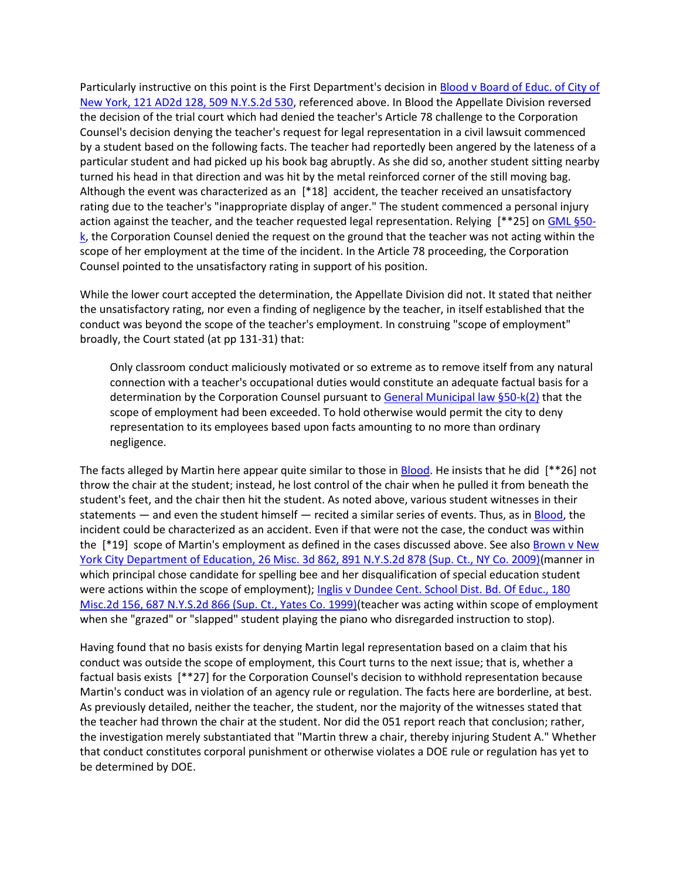Particularly instructive on this point is the First Department's decision in [Blood v Board of Educ. of City of](http://www.lexisnexis.com.ezproxy.strose.edu/lnacui2api/mungo/lexseestat.do?bct=A&risb=21_T12065449606&homeCsi=9095&A=0.10225154853678309&urlEnc=ISO-8859-1&&citeString=121%20A.D.2d%20128&countryCode=USA)  [New York, 121 AD2d 128, 509 N.Y.S.2d 530,](http://www.lexisnexis.com.ezproxy.strose.edu/lnacui2api/mungo/lexseestat.do?bct=A&risb=21_T12065449606&homeCsi=9095&A=0.10225154853678309&urlEnc=ISO-8859-1&&citeString=121%20A.D.2d%20128&countryCode=USA) referenced above. In Blood the Appellate Division reversed the decision of the trial court which had denied the teacher's Article 78 challenge to the Corporation Counsel's decision denying the teacher's request for legal representation in a civil lawsuit commenced by a student based on the following facts. The teacher had reportedly been angered by the lateness of a particular student and had picked up his book bag abruptly. As she did so, another student sitting nearby turned his head in that direction and was hit by the metal reinforced corner of the still moving bag. Although the event was characterized as an [\*18] accident, the teacher received an unsatisfactory rating due to the teacher's "inappropriate display of anger." The student commenced a personal injury action against the teacher, and the teacher requested legal representation. Relying [\*\*25] on [GML §50](http://www.lexisnexis.com.ezproxy.strose.edu/lnacui2api/mungo/lexseestat.do?bct=A&risb=21_T12065449606&homeCsi=9095&A=0.10225154853678309&urlEnc=ISO-8859-1&&citeString=N.Y.%20GEN.%20MUN.%20LAW%2050-K&countryCode=USA)  $k$ , the Corporation Counsel denied the request on the ground that the teacher was not acting within the scope of her employment at the time of the incident. In the Article 78 proceeding, the Corporation Counsel pointed to the unsatisfactory rating in support of his position.

While the lower court accepted the determination, the Appellate Division did not. It stated that neither the unsatisfactory rating, nor even a finding of negligence by the teacher, in itself established that the conduct was beyond the scope of the teacher's employment. In construing "scope of employment" broadly, the Court stated (at pp 131-31) that:

Only classroom conduct maliciously motivated or so extreme as to remove itself from any natural connection with a teacher's occupational duties would constitute an adequate factual basis for a determination by the Corporation Counsel pursuant t[o General Municipal law §50-k\(2\)](http://www.lexisnexis.com.ezproxy.strose.edu/lnacui2api/mungo/lexseestat.do?bct=A&risb=21_T12065449606&homeCsi=9095&A=0.10225154853678309&urlEnc=ISO-8859-1&&citeString=N.Y.%20GEN.%20MUN.%20LAW%2050-K&countryCode=USA) that the scope of employment had been exceeded. To hold otherwise would permit the city to deny representation to its employees based upon facts amounting to no more than ordinary negligence.

The facts alleged by Martin here appear quite similar to those in [Blood.](http://www.lexisnexis.com.ezproxy.strose.edu/lnacui2api/mungo/lexseestat.do?bct=A&risb=21_T12065449606&homeCsi=9095&A=0.10225154853678309&urlEnc=ISO-8859-1&&citeString=121%20A.D.2d%20128&countryCode=USA) He insists that he did [\*\*26] not throw the chair at the student; instead, he lost control of the chair when he pulled it from beneath the student's feet, and the chair then hit the student. As noted above, various student witnesses in their statements — and even the student himself — recited a similar series of events. Thus, as in [Blood,](http://www.lexisnexis.com.ezproxy.strose.edu/lnacui2api/mungo/lexseestat.do?bct=A&risb=21_T12065449606&homeCsi=9095&A=0.10225154853678309&urlEnc=ISO-8859-1&&citeString=121%20A.D.2d%20128&countryCode=USA) the incident could be characterized as an accident. Even if that were not the case, the conduct was within the [\*19] scope of Martin's employment as defined in the cases discussed above. See also Brown v New [York City Department of Education, 26 Misc. 3d 862, 891 N.Y.S.2d 878 \(Sup. Ct., NY Co. 2009\)\(](http://www.lexisnexis.com.ezproxy.strose.edu/lnacui2api/mungo/lexseestat.do?bct=A&risb=21_T12065449606&homeCsi=9095&A=0.10225154853678309&urlEnc=ISO-8859-1&&citeString=26%20Misc.%203d%20862&countryCode=USA)manner in which principal chose candidate for spelling bee and her disqualification of special education student were actions within the scope of employment); Inglis v Dundee Cent. School Dist. Bd. Of Educ., 180 [Misc.2d 156, 687 N.Y.S.2d 866 \(Sup. Ct., Yates Co. 1999\)\(](http://www.lexisnexis.com.ezproxy.strose.edu/lnacui2api/mungo/lexseestat.do?bct=A&risb=21_T12065449606&homeCsi=9095&A=0.10225154853678309&urlEnc=ISO-8859-1&&citeString=180%20Misc.%202d%20156&countryCode=USA)teacher was acting within scope of employment when she "grazed" or "slapped" student playing the piano who disregarded instruction to stop).

Having found that no basis exists for denying Martin legal representation based on a claim that his conduct was outside the scope of employment, this Court turns to the next issue; that is, whether a factual basis exists [\*\*27] for the Corporation Counsel's decision to withhold representation because Martin's conduct was in violation of an agency rule or regulation. The facts here are borderline, at best. As previously detailed, neither the teacher, the student, nor the majority of the witnesses stated that the teacher had thrown the chair at the student. Nor did the 051 report reach that conclusion; rather, the investigation merely substantiated that "Martin threw a chair, thereby injuring Student A." Whether that conduct constitutes corporal punishment or otherwise violates a DOE rule or regulation has yet to be determined by DOE.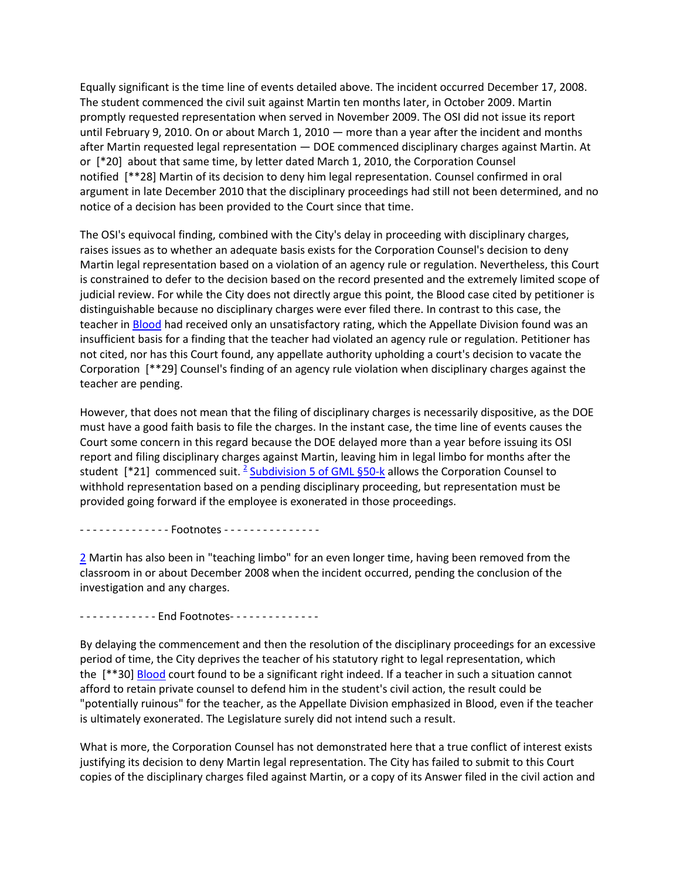Equally significant is the time line of events detailed above. The incident occurred December 17, 2008. The student commenced the civil suit against Martin ten months later, in October 2009. Martin promptly requested representation when served in November 2009. The OSI did not issue its report until February 9, 2010. On or about March 1, 2010 — more than a year after the incident and months after Martin requested legal representation — DOE commenced disciplinary charges against Martin. At or [\*20] about that same time, by letter dated March 1, 2010, the Corporation Counsel notified [\*\*28] Martin of its decision to deny him legal representation. Counsel confirmed in oral argument in late December 2010 that the disciplinary proceedings had still not been determined, and no notice of a decision has been provided to the Court since that time.

The OSI's equivocal finding, combined with the City's delay in proceeding with disciplinary charges, raises issues as to whether an adequate basis exists for the Corporation Counsel's decision to deny Martin legal representation based on a violation of an agency rule or regulation. Nevertheless, this Court is constrained to defer to the decision based on the record presented and the extremely limited scope of judicial review. For while the City does not directly argue this point, the Blood case cited by petitioner is distinguishable because no disciplinary charges were ever filed there. In contrast to this case, the teacher i[n Blood](http://www.lexisnexis.com.ezproxy.strose.edu/lnacui2api/mungo/lexseestat.do?bct=A&risb=21_T12065449606&homeCsi=9095&A=0.10225154853678309&urlEnc=ISO-8859-1&&citeString=121%20A.D.2d%20128&countryCode=USA) had received only an unsatisfactory rating, which the Appellate Division found was an insufficient basis for a finding that the teacher had violated an agency rule or regulation. Petitioner has not cited, nor has this Court found, any appellate authority upholding a court's decision to vacate the Corporation [\*\*29] Counsel's finding of an agency rule violation when disciplinary charges against the teacher are pending.

However, that does not mean that the filing of disciplinary charges is necessarily dispositive, as the DOE must have a good faith basis to file the charges. In the instant case, the time line of events causes the Court some concern in this regard because the DOE delayed more than a year before issuing its OSI report and filing disciplinary charges against Martin, leaving him in legal limbo for months after the student [\*[2](http://www.lexisnexis.com.ezproxy.strose.edu/lnacui2api/frame.do?reloadEntirePage=true&rand=1306781776460&returnToKey=20_T12065581921&parent=docview&target=results_DocumentContent&tokenKey=rsh-20.923980.7832930703#fnote2)1] commenced suit. <sup>2</sup> [Subdivision 5 of GML §50-k](http://www.lexisnexis.com.ezproxy.strose.edu/lnacui2api/mungo/lexseestat.do?bct=A&risb=21_T12065449606&homeCsi=9095&A=0.10225154853678309&urlEnc=ISO-8859-1&&citeString=N.Y.%20GEN.%20MUN.%20LAW%2050-K&countryCode=USA) allows the Corporation Counsel to withhold representation based on a pending disciplinary proceeding, but representation must be provided going forward if the employee is exonerated in those proceedings.

- - - - - - - - - - - - - - Footnotes - - - - - - - - - - - - - - - -

[2](http://www.lexisnexis.com.ezproxy.strose.edu/lnacui2api/frame.do?reloadEntirePage=true&rand=1306781776460&returnToKey=20_T12065581921&parent=docview&target=results_DocumentContent&tokenKey=rsh-20.923980.7832930703#ref2) Martin has also been in "teaching limbo" for an even longer time, having been removed from the classroom in or about December 2008 when the incident occurred, pending the conclusion of the investigation and any charges.

- - - - - - - - - - - - End Footnotes - - - - - - - - - - - - - -

By delaying the commencement and then the resolution of the disciplinary proceedings for an excessive period of time, the City deprives the teacher of his statutory right to legal representation, which the [\*\*30] [Blood](http://www.lexisnexis.com.ezproxy.strose.edu/lnacui2api/mungo/lexseestat.do?bct=A&risb=21_T12065449606&homeCsi=9095&A=0.10225154853678309&urlEnc=ISO-8859-1&&citeString=121%20A.D.2d%20128&countryCode=USA) court found to be a significant right indeed. If a teacher in such a situation cannot afford to retain private counsel to defend him in the student's civil action, the result could be "potentially ruinous" for the teacher, as the Appellate Division emphasized in Blood, even if the teacher is ultimately exonerated. The Legislature surely did not intend such a result.

What is more, the Corporation Counsel has not demonstrated here that a true conflict of interest exists justifying its decision to deny Martin legal representation. The City has failed to submit to this Court copies of the disciplinary charges filed against Martin, or a copy of its Answer filed in the civil action and